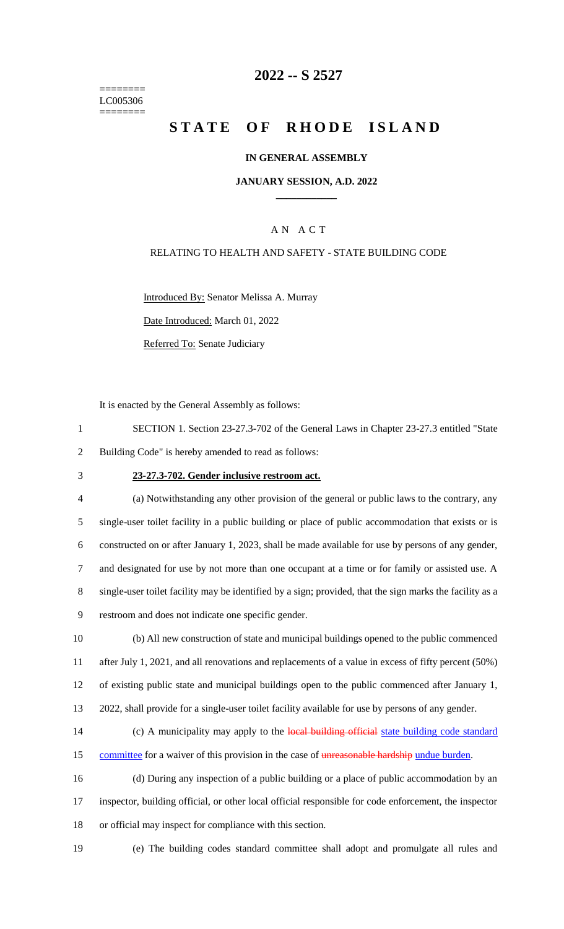======== LC005306 ========

### **2022 -- S 2527**

# **STATE OF RHODE ISLAND**

#### **IN GENERAL ASSEMBLY**

#### **JANUARY SESSION, A.D. 2022 \_\_\_\_\_\_\_\_\_\_\_\_**

### A N A C T

### RELATING TO HEALTH AND SAFETY - STATE BUILDING CODE

Introduced By: Senator Melissa A. Murray

Date Introduced: March 01, 2022

Referred To: Senate Judiciary

It is enacted by the General Assembly as follows:

- 1 SECTION 1. Section 23-27.3-702 of the General Laws in Chapter 23-27.3 entitled "State 2 Building Code" is hereby amended to read as follows:
- 

#### 3 **23-27.3-702. Gender inclusive restroom act.**

 (a) Notwithstanding any other provision of the general or public laws to the contrary, any single-user toilet facility in a public building or place of public accommodation that exists or is constructed on or after January 1, 2023, shall be made available for use by persons of any gender, and designated for use by not more than one occupant at a time or for family or assisted use. A single-user toilet facility may be identified by a sign; provided, that the sign marks the facility as a restroom and does not indicate one specific gender.

 (b) All new construction of state and municipal buildings opened to the public commenced after July 1, 2021, and all renovations and replacements of a value in excess of fifty percent (50%) of existing public state and municipal buildings open to the public commenced after January 1, 2022, shall provide for a single-user toilet facility available for use by persons of any gender.

14 (c) A municipality may apply to the local building official state building code standard 15 committee for a waiver of this provision in the case of unreasonable hardship undue burden.

16 (d) During any inspection of a public building or a place of public accommodation by an 17 inspector, building official, or other local official responsible for code enforcement, the inspector 18 or official may inspect for compliance with this section.

19 (e) The building codes standard committee shall adopt and promulgate all rules and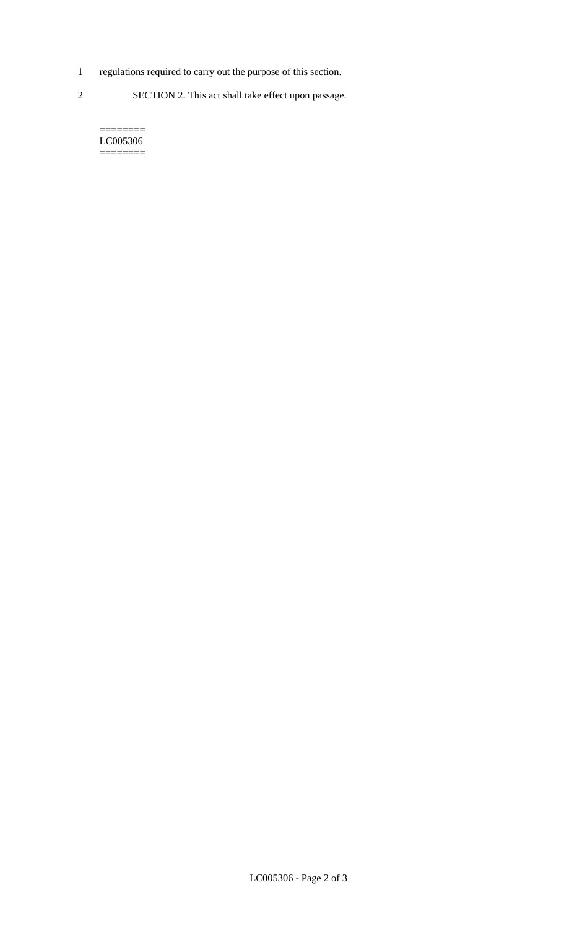- 1 regulations required to carry out the purpose of this section.
- 2 SECTION 2. This act shall take effect upon passage.

======== LC005306  $=$